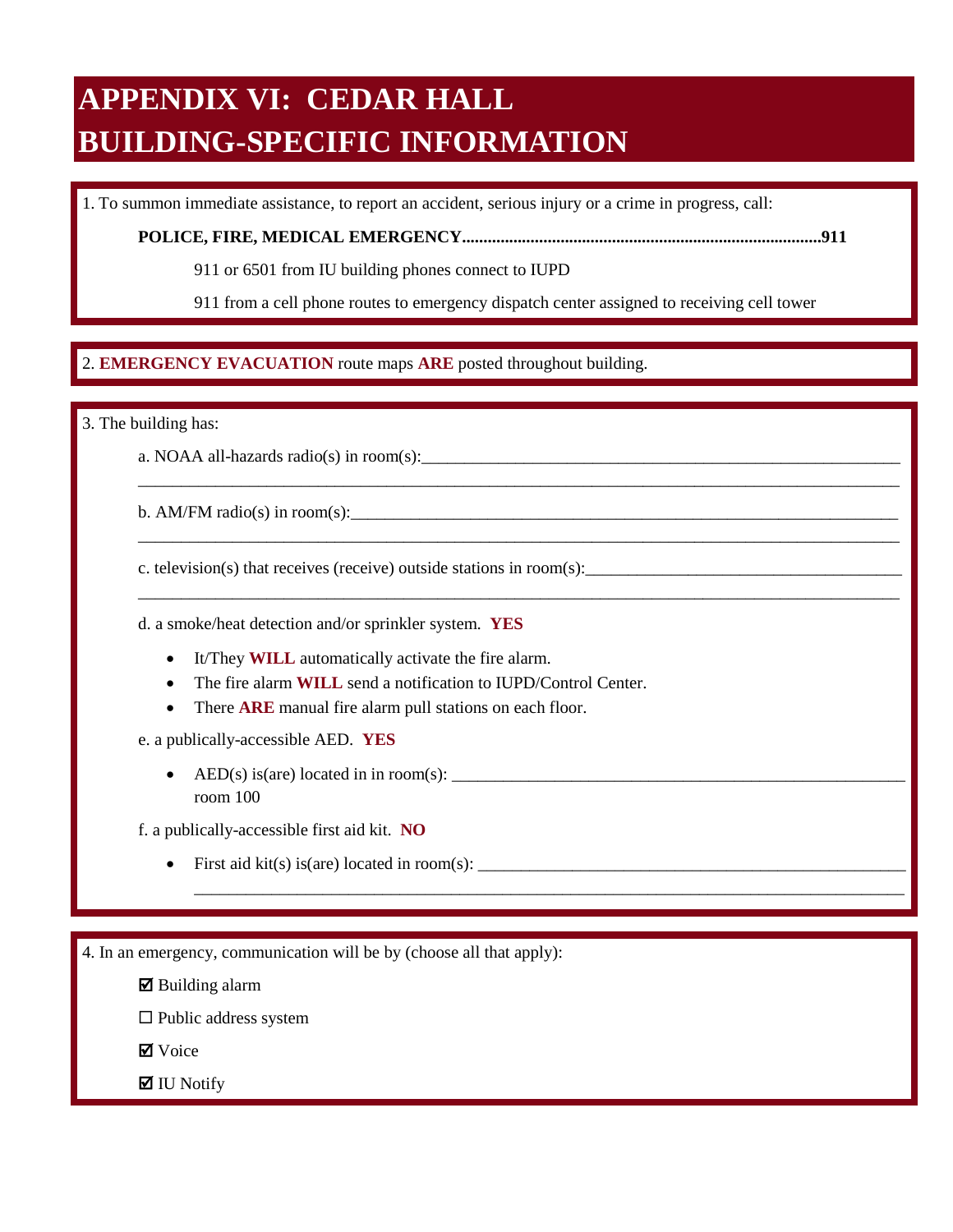## **APPENDIX VI: CEDAR HALL BUILDING-SPECIFIC INFORMATION**

1. To summon immediate assistance, to report an accident, serious injury or a crime in progress, call:

**POLICE, FIRE, MEDICAL EMERGENCY....................................................................................911** 

911 or 6501 from IU building phones connect to IUPD

911 from a cell phone routes to emergency dispatch center assigned to receiving cell tower

\_\_\_\_\_\_\_\_\_\_\_\_\_\_\_\_\_\_\_\_\_\_\_\_\_\_\_\_\_\_\_\_\_\_\_\_\_\_\_\_\_\_\_\_\_\_\_\_\_\_\_\_\_\_\_\_\_\_\_\_\_\_\_\_\_\_\_\_\_\_\_\_\_\_\_\_\_\_\_\_\_\_\_\_\_\_\_\_\_

\_\_\_\_\_\_\_\_\_\_\_\_\_\_\_\_\_\_\_\_\_\_\_\_\_\_\_\_\_\_\_\_\_\_\_\_\_\_\_\_\_\_\_\_\_\_\_\_\_\_\_\_\_\_\_\_\_\_\_\_\_\_\_\_\_\_\_\_\_\_\_\_\_\_\_\_\_\_\_\_\_\_\_\_\_\_\_\_\_

\_\_\_\_\_\_\_\_\_\_\_\_\_\_\_\_\_\_\_\_\_\_\_\_\_\_\_\_\_\_\_\_\_\_\_\_\_\_\_\_\_\_\_\_\_\_\_\_\_\_\_\_\_\_\_\_\_\_\_\_\_\_\_\_\_\_\_\_\_\_\_\_\_\_\_\_\_\_\_\_\_\_\_\_\_\_\_\_\_

\_\_\_\_\_\_\_\_\_\_\_\_\_\_\_\_\_\_\_\_\_\_\_\_\_\_\_\_\_\_\_\_\_\_\_\_\_\_\_\_\_\_\_\_\_\_\_\_\_\_\_\_\_\_\_\_\_\_\_\_\_\_\_\_\_\_\_\_\_\_\_\_\_\_\_\_\_\_\_\_\_\_\_

## $\overline{a}$ 2. EMERGENCY EVACUATION route maps ARE posted throughout building. 2. **EMERGENCY EVACUATION** route maps **ARE** posted throughout building.

3. The building has:

a. NOAA all-hazards radio(s) in room(s):

b. AM/FM radio(s) in room(s):

c. television(s) that receives (receive) outside stations in room(s):

d. a smoke/heat detection and/or sprinkler system. **YES** 

- It/They **WILL** automatically activate the fire alarm.
- The fire alarm **WILL** send a notification to IUPD/Control Center.
- There **ARE** manual fire alarm pull stations on each floor.

e. a publically-accessible AED. **YES** 

• AED(s) is(are) located in in room(s):  $\frac{1}{\sqrt{1-\frac{1}{2}}}\left\{ \frac{1}{2}, \frac{1}{2}, \frac{1}{2}, \frac{1}{2}, \frac{1}{2}, \frac{1}{2}, \frac{1}{2}, \frac{1}{2}, \frac{1}{2}, \frac{1}{2}, \frac{1}{2}, \frac{1}{2}, \frac{1}{2}, \frac{1}{2}, \frac{1}{2}, \frac{1}{2}, \frac{1}{2}, \frac{1}{2}, \frac{1}{2}, \frac{1}{2}, \frac{1}{2}, \frac{1}{2}, \frac{1}{2$ room 100

f. a publically-accessible first aid kit. **NO** 

• First aid kit(s) is(are) located in room(s):  $\_\_\_\_\_\_\_\_$ 

4. In an emergency, communication will be by (choose all that apply):

 $\boxtimes$  Building alarm

 $\square$  Public address system

**Ø** Voice

 $\blacksquare$  IU Notify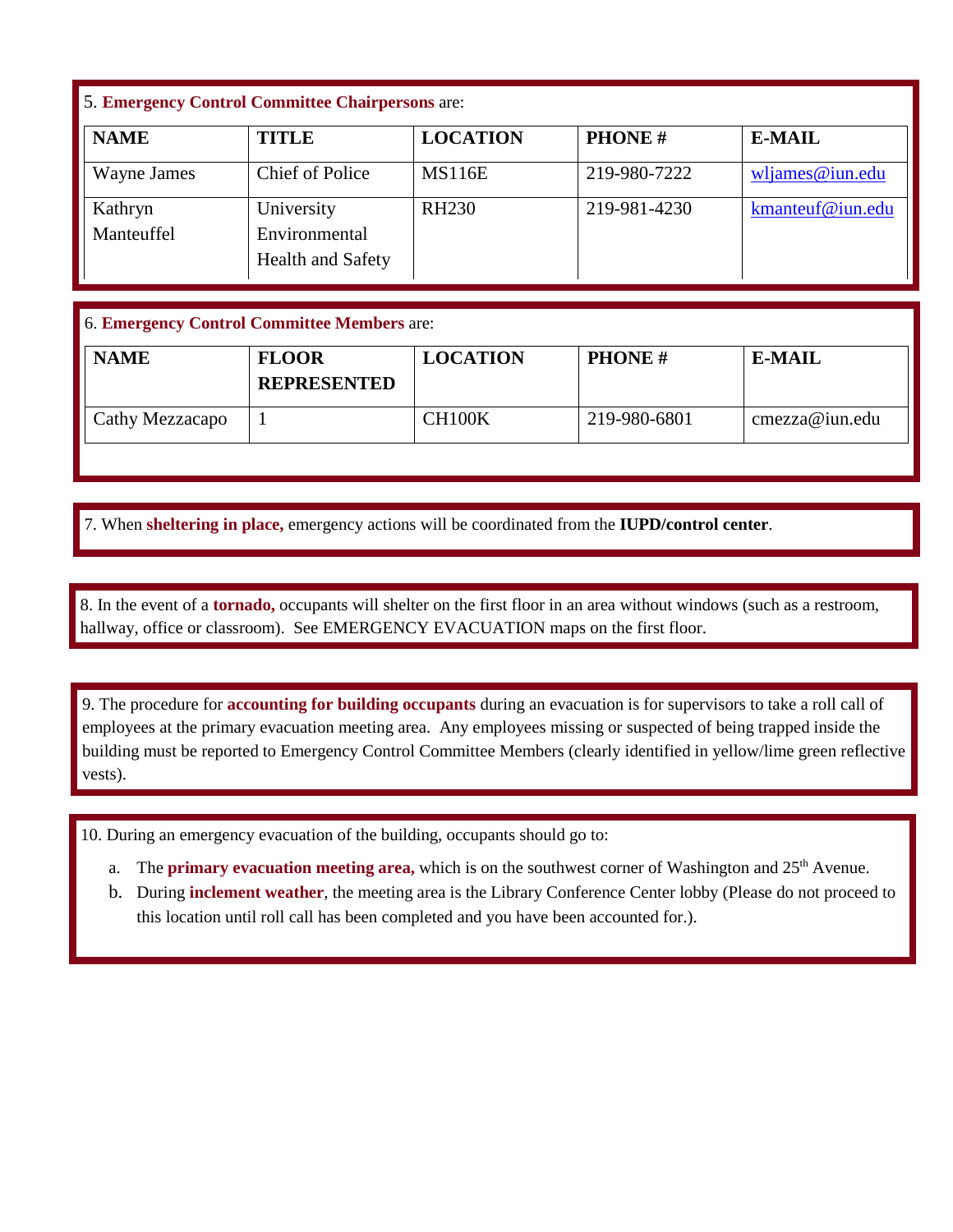## 5. **Emergency Control Committee Chairpersons** are:

| <b>NAME</b> | <b>TITLE</b>             | <b>LOCATION</b>   | <b>PHONE#</b> | <b>E-MAIL</b>      |
|-------------|--------------------------|-------------------|---------------|--------------------|
| Wayne James | Chief of Police          | <b>MS116E</b>     | 219-980-7222  | $w$ ljames@iun.edu |
| Kathryn     | University               | RH <sub>230</sub> | 219-981-4230  | kmanteuf@iun.edu   |
| Manteuffel  | Environmental            |                   |               |                    |
|             | <b>Health and Safety</b> |                   |               |                    |

## 6. **Emergency Control Committee Members** are:

| <b>NAME</b>     | <b>FLOOR</b><br><b>REPRESENTED</b> | <b>LOCATION</b> | <b>PHONE#</b> | <b>E-MAIL</b>  |
|-----------------|------------------------------------|-----------------|---------------|----------------|
| Cathy Mezzacapo |                                    | CH100K          | 219-980-6801  | cmezza@iun.edu |

7. When sheltering in place, emergency actions will be coordinated from the IUPD/control center. 7. When **sheltering in place,** emergency actions will be coordinated from the **IUPD/control center**.

 hallway, office or classroom). See EMERGENCY EVACUATION maps on the first floor. 8. In the event of a **tornado**, occupants will shelter on the first floor in an area without windows (such as a restroom, hallway, office or classroom). See EMERGENCY EVACUATION maps on the first floor. 8. In the event of a **tornado,** occupants will shelter on the first floor in an area without windows (such as a restroom,

 9. The procedure for **accounting for building occupants** during an evacuation is for supervisors to take a roll call of employees at the primary evacuation meeting area. Any employees missing or suspected of being trapped inside the building must be reported to Emergency Control Committee Members (clearly identified in yellow/lime green reflective vests).

10. During an emergency evacuation of the building, occupants should go to:

- a. The **primary evacuation meeting area,** which is on the southwest corner of Washington and 25<sup>th</sup> Avenue.
- b. During **inclement weather**, the meeting area is the Library Conference Center lobby (Please do not proceed to this location until roll call has been completed and you have been accounted for.).